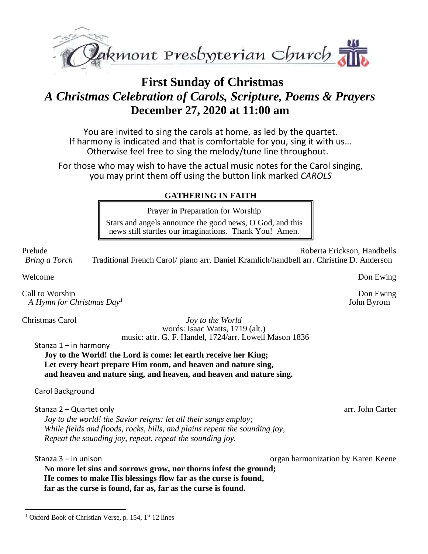

# **First Sunday of Christmas** *A Christmas Celebration of Carols, Scripture, Poems & Prayers* **December 27, 2020 at 11:00 am**

You are invited to sing the carols at home, as led by the quartet. If harmony is indicated and that is comfortable for you, sing it with us… Otherwise feel free to sing the melody/tune line throughout.

For those who may wish to have the actual music notes for the Carol singing, you may print them off using the button link marked *CAROLS*

# **GATHERING IN FAITH**

Prayer in Preparation for Worship

Stars and angels announce the good news, O God, and this news still startles our imaginations. Thank You! Amen.

Prelude **Roberta Erickson, Handbells** Roberta Erickson, Handbells *Bring a Torch* Traditional French Carol/ piano arr. Daniel Kramlich/handbell arr. Christine D. Anderson

Call to Worship Don Ewing  *A Hymn for Christmas Day<sup>1</sup>*

Christmas Carol *Joy to the World* words: Isaac Watts, 1719 (alt.) music: attr. G. F. Handel, 1724/arr. Lowell Mason 1836

Stanza 1 – in harmony **Joy to the World! the Lord is come: let earth receive her King; Let every heart prepare Him room, and heaven and nature sing,**

**and heaven and nature sing, and heaven, and heaven and nature sing.**

Carol Background

Stanza 2 – Quartet only arr. John Carter only arr. John Carter only arr. John Carter only arr. John Carter only

*Joy to the world! the Savior reigns: let all their songs employ; While fields and floods, rocks, hills, and plains repeat the sounding joy, Repeat the sounding joy, repeat, repeat the sounding joy.*

 $\overline{a}$ 

Stanza 3 – in unison organ harmonization by Karen Keene

**No more let sins and sorrows grow, nor thorns infest the ground; He comes to make His blessings flow far as the curse is found, far as the curse is found, far as, far as the curse is found.**

Welcome Don Ewing

John Byrom

<sup>&</sup>lt;sup>1</sup> Oxford Book of Christian Verse, p. 154,  $1<sup>st</sup>$  12 lines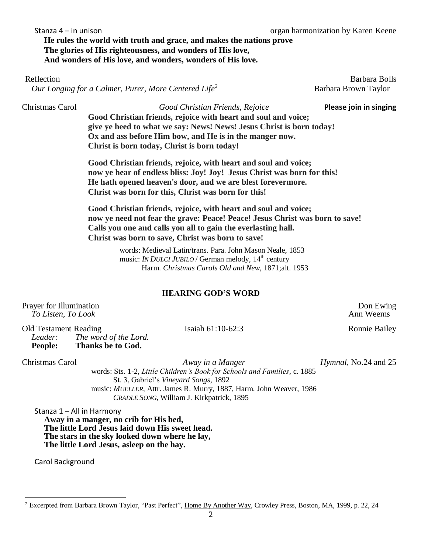# **He rules the world with truth and grace, and makes the nations prove The glories of His righteousness, and wonders of His love, And wonders of His love, and wonders, wonders of His love.**

#### Reflection Barbara Bolls

*Our Longing for a Calmer, Purer, More Centered Life<sup>2</sup>* Barbara Brown Taylor

Christmas Carol *Good Christian Friends, Rejoice* **Please join in singing Good Christian friends, rejoice with heart and soul and voice; give ye heed to what we say: News! News! Jesus Christ is born today! Ox and ass before Him bow, and He is in the manger now. Christ is born today, Christ is born today!**

> **Good Christian friends, rejoice, with heart and soul and voice; now ye hear of endless bliss: Joy! Joy! Jesus Christ was born for this! He hath opened heaven's door, and we are blest forevermore. Christ was born for this, Christ was born for this!**

**Good Christian friends, rejoice, with heart and soul and voice; now ye need not fear the grave: Peace! Peace! Jesus Christ was born to save! Calls you one and calls you all to gain the everlasting hall. Christ was born to save, Christ was born to save!**

> words: Medieval Latin/trans. Para. John Mason Neale, 1853 music: *IN DULCI JUBILO* / German melody, 14th century Harm. *Christmas Carols Old and New*, 1871;alt. 1953

## **HEARING GOD'S WORD**

Prayer for Illumination **Don Ewing** *To Listen, To Look* Ann Weems

Old Testament Reading Tsaiah 61:10-62:3 Ronnie Bailey *Leader: The word of the Lord.* **Thanks be to God.** 

Christmas Carol *Away in a Manger Hymnal,* No.24 and 25

words: Sts. 1-2, *Little Children's Book for Schools and Families*, c. 1885 St. 3, Gabriel's *Vineyard Songs*, 1892 music: *MUELLER*, Attr. James R. Murry, 1887, Harm. John Weaver, 1986 *CRADLE SONG,* William J. Kirkpatrick, 1895

Stanza 1 – All in Harmony

**Away in a manger, no crib for His bed, The little Lord Jesus laid down His sweet head. The stars in the sky looked down where he lay, The little Lord Jesus, asleep on the hay.**

Carol Background

 $\overline{a}$ 

<sup>&</sup>lt;sup>2</sup> Excerpted from Barbara Brown Taylor, "Past Perfect", Home By Another Way, Crowley Press, Boston, MA, 1999, p. 22, 24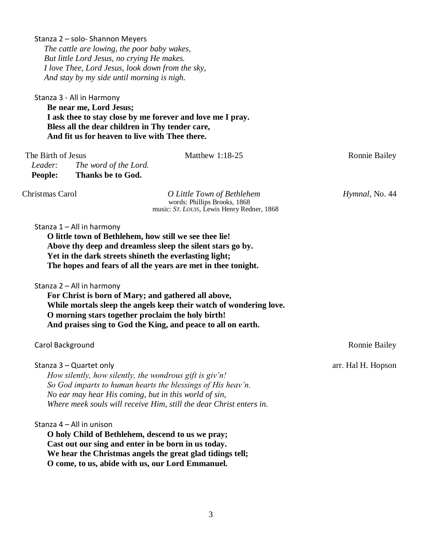|                                          | Stanza 2 - solo-Shannon Meyers<br>The cattle are lowing, the poor baby wakes,<br>But little Lord Jesus, no crying He makes.<br>I love Thee, Lord Jesus, look down from the sky,<br>And stay by my side until morning is nigh. |                                                                                                                                                                                                                                                        |                        |
|------------------------------------------|-------------------------------------------------------------------------------------------------------------------------------------------------------------------------------------------------------------------------------|--------------------------------------------------------------------------------------------------------------------------------------------------------------------------------------------------------------------------------------------------------|------------------------|
|                                          | Stanza 3 - All in Harmony<br>Be near me, Lord Jesus;<br>Bless all the dear children in Thy tender care,<br>And fit us for heaven to live with Thee there.                                                                     | I ask thee to stay close by me forever and love me I pray.                                                                                                                                                                                             |                        |
| The Birth of Jesus<br>Leader:<br>People: | The word of the Lord.<br>Thanks be to God.                                                                                                                                                                                    | Matthew $1:18-25$                                                                                                                                                                                                                                      | <b>Ronnie Bailey</b>   |
| Christmas Carol                          |                                                                                                                                                                                                                               | O Little Town of Bethlehem<br>words: Phillips Brooks, 1868<br>music: Sr. Lovis, Lewis Henry Redner, 1868                                                                                                                                               | <i>Hymnal</i> , No. 44 |
|                                          | Stanza 1 - All in harmony                                                                                                                                                                                                     | O little town of Bethlehem, how still we see thee lie!<br>Above thy deep and dreamless sleep the silent stars go by.<br>Yet in the dark streets shineth the everlasting light;<br>The hopes and fears of all the years are met in thee tonight.        |                        |
|                                          | Stanza 2 - All in harmony                                                                                                                                                                                                     | For Christ is born of Mary; and gathered all above,<br>While mortals sleep the angels keep their watch of wondering love.<br>O morning stars together proclaim the holy birth!<br>And praises sing to God the King, and peace to all on earth.         |                        |
| Carol Background                         |                                                                                                                                                                                                                               |                                                                                                                                                                                                                                                        | <b>Ronnie Bailey</b>   |
|                                          | Stanza 3 – Quartet only                                                                                                                                                                                                       | How silently, how silently, the wondrous gift is giv'n!<br>So God imparts to human hearts the blessings of His heav'n.<br>No ear may hear His coming, but in this world of sin,<br>Where meek souls will receive Him, still the dear Christ enters in. | arr. Hal H. Hopson     |
|                                          | Stanza 4 - All in unison                                                                                                                                                                                                      | O holy Child of Bethlehem, descend to us we pray;<br>Cast out our sing and enter in be born in us today.<br>We hear the Christmas angels the great glad tidings tell;                                                                                  |                        |

**O come, to us, abide with us, our Lord Emmanuel.**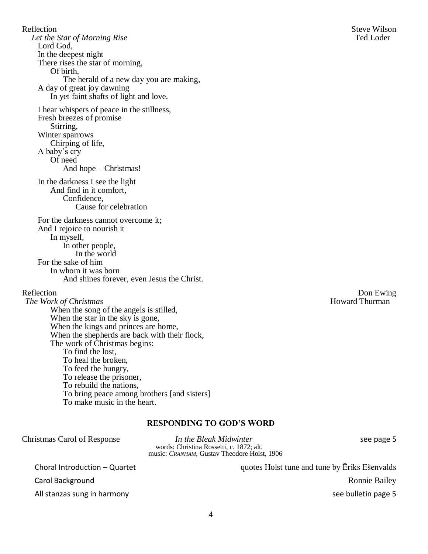*Let the Star of Morning Rise* Ted Loder Lord God, In the deepest night There rises the star of morning, Of birth, The herald of a new day you are making, A day of great joy dawning In yet faint shafts of light and love. I hear whispers of peace in the stillness, Fresh breezes of promise Stirring, Winter sparrows Chirping of life, A baby's cry Of need And hope – Christmas! In the darkness I see the light And find in it comfort, Confidence, Cause for celebration For the darkness cannot overcome it; And I rejoice to nourish it In myself, In other people, In the world For the sake of him In whom it was born And shines forever, even Jesus the Christ. Reflection Don Ewing *The Work of Christmas* **Howard Thurman** When the song of the angels is stilled, When the star in the sky is gone, When the kings and princes are home, When the shepherds are back with their flock, The work of Christmas begins: To find the lost, To heal the broken, To feed the hungry, To release the prisoner,

To rebuild the nations, To bring peace among brothers [and sisters] To make music in the heart.

#### **RESPONDING TO GOD'S WORD**

All stanzas sung in harmony see bulletin page 5

Reflection Steve Wilson

Christmas Carol of Response *In the Bleak Midwinter* see page 5 words: Christina Rossetti, c. 1872; alt. music: *CRANHAM*, Gustav Theodore Holst, 1906

Choral Introduction – Quartet **quotes Holst** tune and tune by Ēriks Ešenvalds Carol Background **Ronnie Bailey** 

4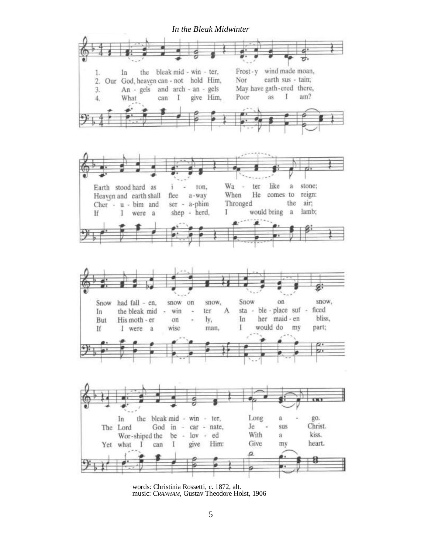

words: Christinia Rossetti, c. 1872, alt. music: *CRANHAM*, Gustav Theodore Holst, 1906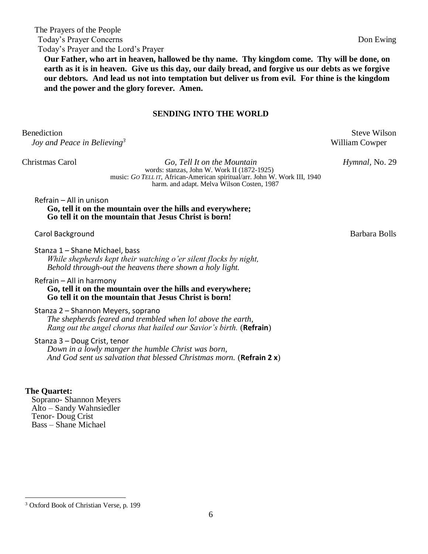The Prayers of the People Today's Prayer Concerns Don Ewing Today's Prayer and the Lord's Prayer

**Our Father, who art in heaven, hallowed be thy name. Thy kingdom come. Thy will be done, on earth as it is in heaven. Give us this day, our daily bread, and forgive us our debts as we forgive our debtors. And lead us not into temptation but deliver us from evil. For thine is the kingdom and the power and the glory forever. Amen.**

#### **SENDING INTO THE WORLD**

Benediction Steve Wilson *Joy and Peace in Believing<sup>3</sup>* William Cowper

Christmas Carol *Go, Tell It on the Mountain Hymnal,* No. 29 words: stanzas, John W. Work II (1872-1925) music: *GO TELL IT*, African-American spiritual/arr. John W. Work III, 1940 harm. and adapt. Melva Wilson Costen, 1987

Refrain – All in unison **Go, tell it on the mountain over the hills and everywhere; Go tell it on the mountain that Jesus Christ is born!**

#### Carol Background **Background** Background **Background** Background **Background** Background **Background** Background **Background**

Stanza 1 – Shane Michael, bass

*While shepherds kept their watching o'er silent flocks by night, Behold through-out the heavens there shown a holy light.*

Refrain – All in harmony **Go, tell it on the mountain over the hills and everywhere; Go tell it on the mountain that Jesus Christ is born!**

### Stanza 2 – Shannon Meyers, soprano

*The shepherds feared and trembled when lo! above the earth, Rang out the angel chorus that hailed our Savior's birth.* (**Refrain**)

## Stanza 3 – Doug Crist, tenor

*Down in a lowly manger the humble Christ was born, And God sent us salvation that blessed Christmas morn.* (**Refrain 2 x**)

# **The Quartet:**

 $\overline{a}$ 

Soprano- Shannon Meyers Alto – Sandy Wahnsiedler Tenor- Doug Crist Bass – Shane Michael

## <sup>3</sup> Oxford Book of Christian Verse, p. 199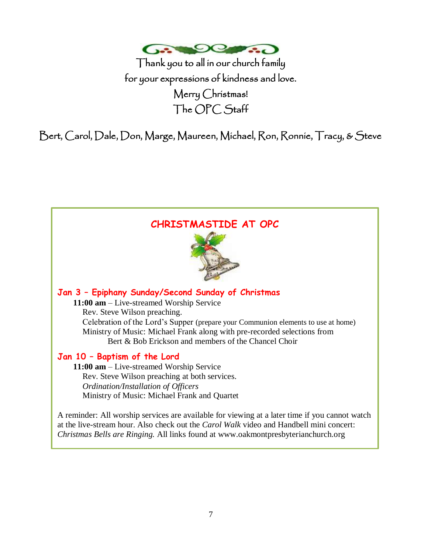

Thank you to all in our church family for your expressions of kindness and love. Merry Christmas! The OPC Staff

Bert, Carol, Dale, Don, Marge, Maureen, Michael, Ron, Ronnie, Tracy, & Steve